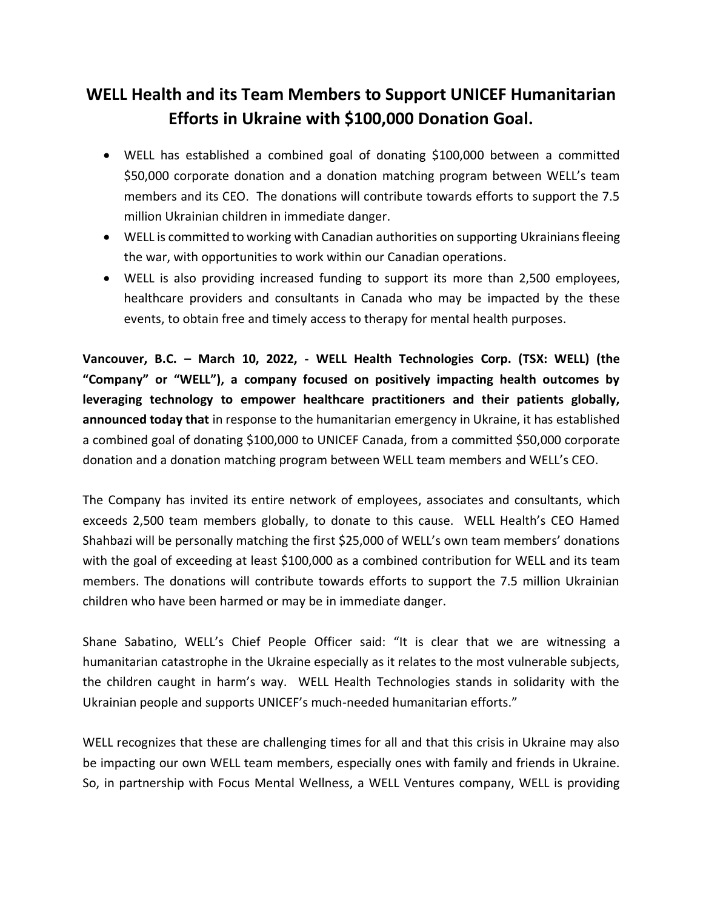## **WELL Health and its Team Members to Support UNICEF Humanitarian Efforts in Ukraine with \$100,000 Donation Goal.**

- WELL has established a combined goal of donating \$100,000 between a committed \$50,000 corporate donation and a donation matching program between WELL's team members and its CEO. The donations will contribute towards efforts to support the 7.5 million Ukrainian children in immediate danger.
- WELL is committed to working with Canadian authorities on supporting Ukrainians fleeing the war, with opportunities to work within our Canadian operations.
- WELL is also providing increased funding to support its more than 2,500 employees, healthcare providers and consultants in Canada who may be impacted by the these events, to obtain free and timely access to therapy for mental health purposes.

**Vancouver, B.C. – March 10, 2022, - WELL Health Technologies Corp. (TSX: WELL) (the "Company" or "WELL"), a company focused on positively impacting health outcomes by leveraging technology to empower healthcare practitioners and their patients globally, announced today that** in response to the humanitarian emergency in Ukraine, it has established a combined goal of donating \$100,000 to UNICEF Canada, from a committed \$50,000 corporate donation and a donation matching program between WELL team members and WELL's CEO.

The Company has invited its entire network of employees, associates and consultants, which exceeds 2,500 team members globally, to donate to this cause. WELL Health's CEO Hamed Shahbazi will be personally matching the first \$25,000 of WELL's own team members' donations with the goal of exceeding at least \$100,000 as a combined contribution for WELL and its team members. The donations will contribute towards efforts to support the 7.5 million Ukrainian children who have been harmed or may be in immediate danger.

Shane Sabatino, WELL's Chief People Officer said: "It is clear that we are witnessing a humanitarian catastrophe in the Ukraine especially as it relates to the most vulnerable subjects, the children caught in harm's way. WELL Health Technologies stands in solidarity with the Ukrainian people and supports UNICEF's much-needed humanitarian efforts."

WELL recognizes that these are challenging times for all and that this crisis in Ukraine may also be impacting our own WELL team members, especially ones with family and friends in Ukraine. So, in partnership with Focus Mental Wellness, a WELL Ventures company, WELL is providing